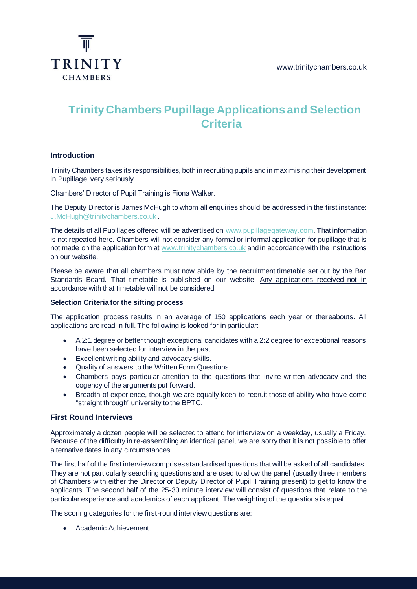

# **Trinity Chambers Pupillage Applications and Selection Criteria**

## **Introduction**

Trinity Chambers takes its responsibilities, both in recruiting pupils and in maximising their development in Pupillage, very seriously.

Chambers' Director of Pupil Training is Fiona Walker.

The Deputy Director is James McHugh to whom all enquiries should be addressed in the first instance: [J.McHugh@trinitychambers.co.uk](file:///C:/Users/Rachel/Documents/Trinity/2021/J.McHugh@trinitychambers.co.uk) .

The details of all Pupillages offered will be advertised on [www.pupillagegateway.com.](file:///C:/Users/Rachel/Documents/Trinity/2021/www.pupillagegateway.com) That information is not repeated here. Chambers will not consider any formal or informal application for pupillage that is not made on the application form at [www.trinitychambers.co.uk](file:///C:/Users/Rachel/Documents/Trinity/2021/www.trinitychambers.co.uk) and in accordance with the instructions on our website.

Please be aware that all chambers must now abide by the recruitment timetable set out by the Bar Standards Board. That timetable is published on our website. Any applications received not in accordance with that timetable will not be considered.

### **Selection Criteria for the sifting process**

The application process results in an average of 150 applications each year or thereabouts. All applications are read in full. The following is looked for in particular:

- A 2:1 degree or better though exceptional candidates with a 2:2 degree for exceptional reasons have been selected for interview in the past.
- Excellent writing ability and advocacy skills.
- Quality of answers to the Written Form Questions.
- Chambers pays particular attention to the questions that invite written advocacy and the cogency of the arguments put forward.
- Breadth of experience, though we are equally keen to recruit those of ability who have come "straight through" university to the BPTC.

#### **First Round Interviews**

Approximately a dozen people will be selected to attend for interview on a weekday, usually a Friday. Because of the difficulty in re-assembling an identical panel, we are sorry that it is not possible to offer alternative dates in any circumstances.

The first half of the first interview comprises standardised questions that will be asked of all candidates. They are not particularly searching questions and are used to allow the panel (usually three members of Chambers with either the Director or Deputy Director of Pupil Training present) to get to know the applicants. The second half of the 25-30 minute interview will consist of questions that relate to the particular experience and academics of each applicant. The weighting of the questions is equal.

The scoring categories for the first-round interview questions are:

• Academic Achievement